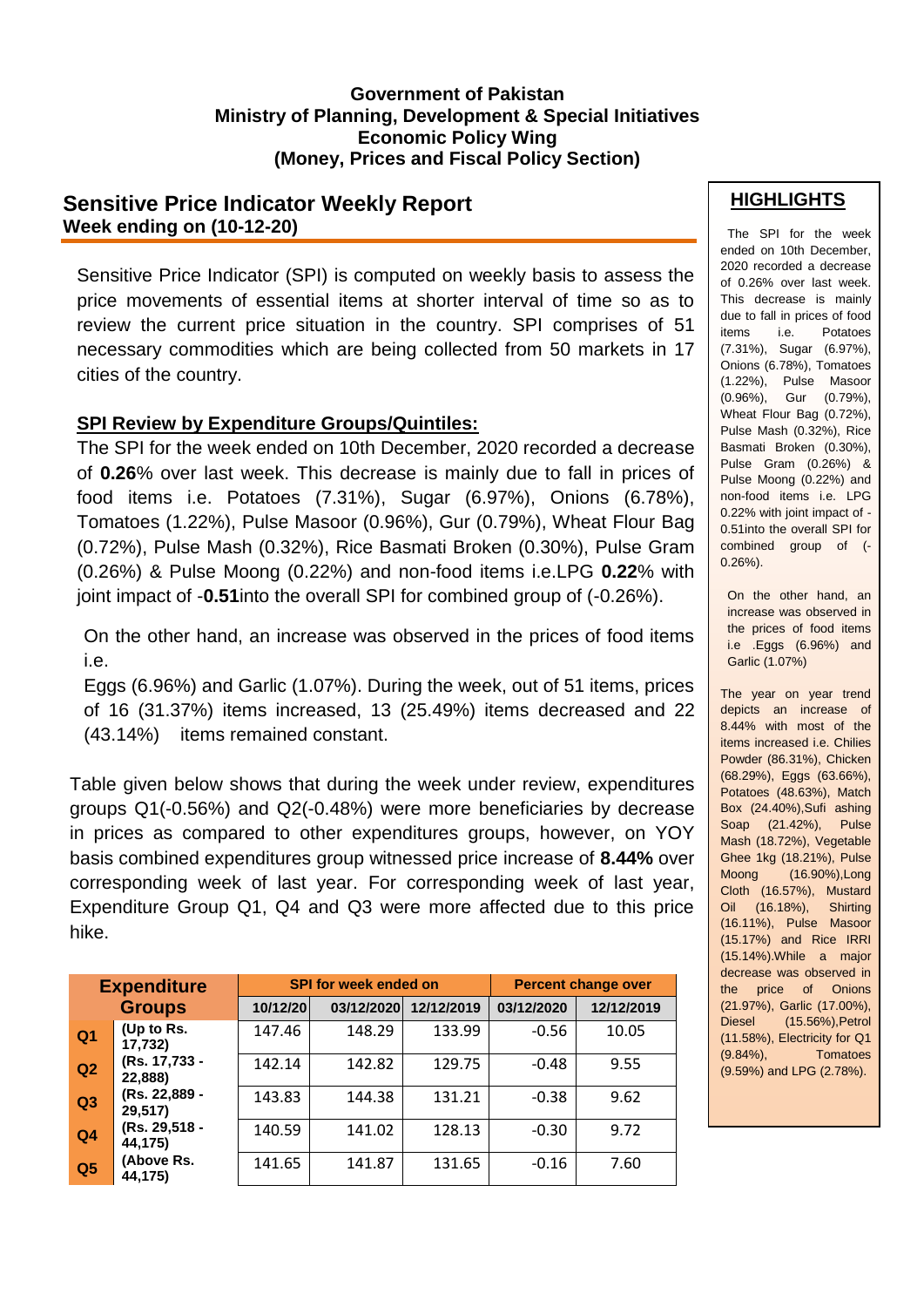#### **Government of Pakistan Ministry of Planning, Development & Special Initiatives Economic Policy Wing (Money, Prices and Fiscal Policy Section)**

# **Sensitive Price Indicator Weekly Report Week ending on (10-12-20)**

Sensitive Price Indicator (SPI) is computed on weekly basis to assess the price movements of essential items at shorter interval of time so as to review the current price situation in the country. SPI comprises of 51 necessary commodities which are being collected from 50 markets in 17 cities of the country.

### **SPI Review by Expenditure Groups/Quintiles:**

The SPI for the week ended on 10th December, 2020 recorded a decrease of **0.26**% over last week. This decrease is mainly due to fall in prices of food items i.e. Potatoes (7.31%), Sugar (6.97%), Onions (6.78%), Tomatoes (1.22%), Pulse Masoor (0.96%), Gur (0.79%), Wheat Flour Bag (0.72%), Pulse Mash (0.32%), Rice Basmati Broken (0.30%), Pulse Gram (0.26%) & Pulse Moong (0.22%) and non-food items i.e.LPG **0.22**% with joint impact of -**0.51**into the overall SPI for combined group of (-0.26%).

On the other hand, an increase was observed in the prices of food items i.e.

Eggs (6.96%) and Garlic (1.07%). During the week, out of 51 items, prices of 16 (31.37%) items increased, 13 (25.49%) items decreased and 22 (43.14%) items remained constant.

Table given below shows that during the week under review, expenditures groups Q1(-0.56%) and Q2(-0.48%) were more beneficiaries by decrease in prices as compared to other expenditures groups, however, on YOY basis combined expenditures group witnessed price increase of **8.44%** over corresponding week of last year. For corresponding week of last year, Expenditure Group Q1, Q4 and Q3 were more affected due to this price hike.

| <b>Expenditure</b><br><b>Groups</b> |                          | <b>SPI for week ended on</b> |            |            | <b>Percent change over</b> |            |  |
|-------------------------------------|--------------------------|------------------------------|------------|------------|----------------------------|------------|--|
|                                     |                          | 10/12/20                     | 03/12/2020 | 12/12/2019 | 03/12/2020                 | 12/12/2019 |  |
| Q <sub>1</sub>                      | (Up to Rs.<br>17,732)    | 147.46                       | 148.29     | 133.99     | $-0.56$                    | 10.05      |  |
| Q2                                  | (Rs. 17,733 -<br>22,888) | 142.14                       | 142.82     | 129.75     | $-0.48$                    | 9.55       |  |
| Q3                                  | (Rs. 22,889 -<br>29,517) | 143.83                       | 144.38     | 131.21     | $-0.38$                    | 9.62       |  |
| Q <sub>4</sub>                      | (Rs. 29,518 -<br>44,175) | 140.59                       | 141.02     | 128.13     | $-0.30$                    | 9.72       |  |
| Q <sub>5</sub>                      | (Above Rs.<br>44,175)    | 141.65                       | 141.87     | 131.65     | $-0.16$                    | 7.60       |  |

### **HIGHLIGHTS**

The SPI for the week ended on 10th December, 2020 recorded a decrease of 0.26% over last week. This decrease is mainly due to fall in prices of food items i.e. Potatoes (7.31%), Sugar (6.97%), Onions (6.78%), Tomatoes (1.22%), Pulse Masoor (0.96%), Gur (0.79%), Wheat Flour Bag (0.72%), Pulse Mash (0.32%), Rice Basmati Broken (0.30%), Pulse Gram (0.26%) & Pulse Moong (0.22%) and non-food items i.e. LPG 0.22% with joint impact of - 0.51into the overall SPI for combined group of (- 0.26%).

 On the other hand, an increase was observed in the prices of food items i.e .Eggs (6.96%) and Garlic (1.07%)

The year on year trend depicts an increase of 8.44% with most of the items increased i.e. Chilies Powder (86.31%), Chicken (68.29%), Eggs (63.66%), Potatoes (48.63%), Match Box (24.40%),Sufi ashing Soap (21.42%), Pulse Mash (18.72%), Vegetable Ghee 1kg (18.21%), Pulse Moong (16.90%),Long Cloth (16.57%), Mustard Oil (16.18%), Shirting (16.11%), Pulse Masoor (15.17%) and Rice IRRI (15.14%).While a major decrease was observed in the price of Onions (21.97%), Garlic (17.00%), Diesel (15.56%),Petrol (11.58%), Electricity for Q1 (9.84%), Tomatoes (9.59%) and LPG (2.78%).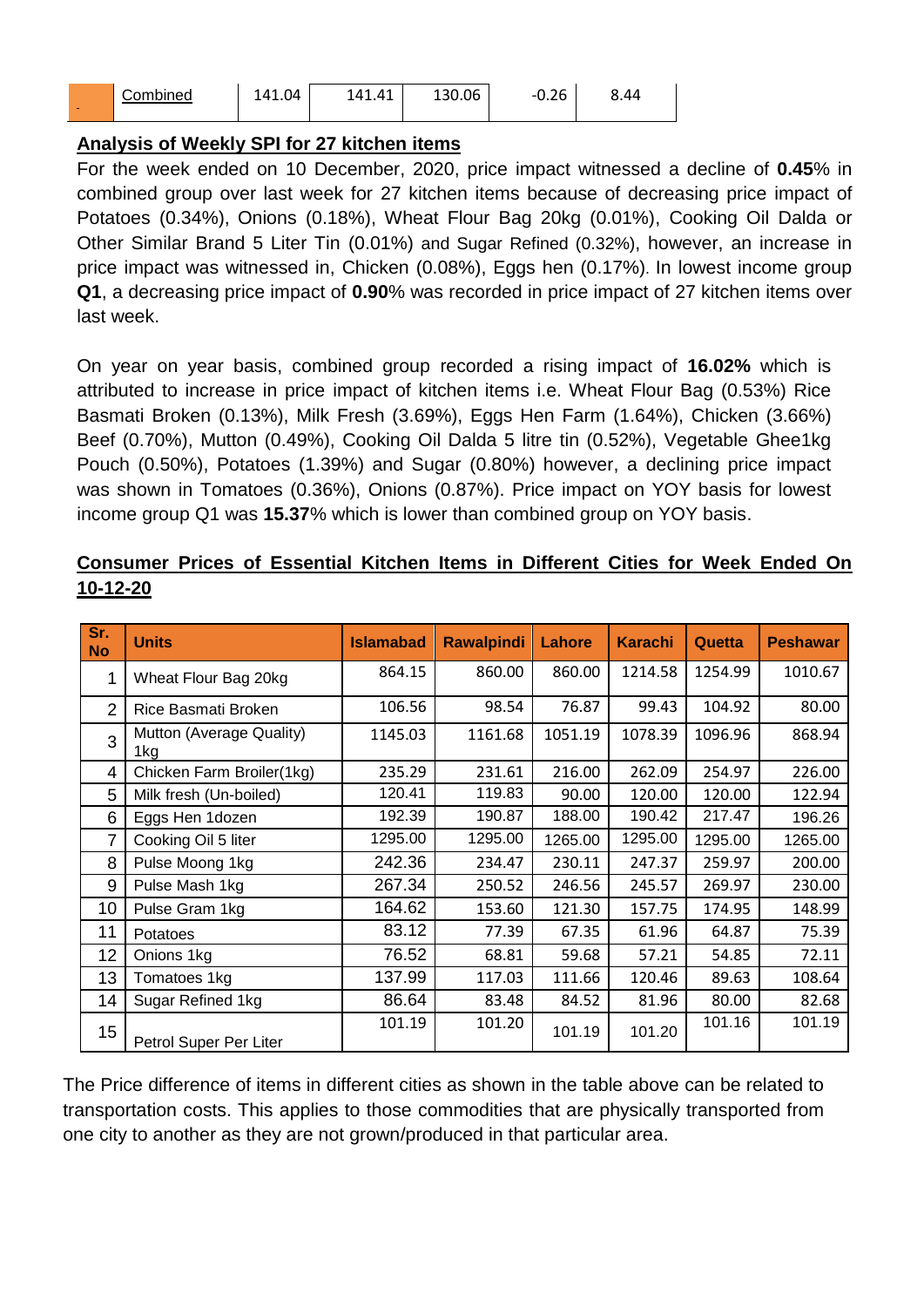| <b>COLLEGE</b> | ombined; | 1.04 | $\overline{ }$<br>$\Delta$ 1<br>-41 | 130.06 | $\sim$<br><u> ъ</u><br>-1<br>ט.∠ט | 44.ر |
|----------------|----------|------|-------------------------------------|--------|-----------------------------------|------|
|----------------|----------|------|-------------------------------------|--------|-----------------------------------|------|

### **Analysis of Weekly SPI for 27 kitchen items**

For the week ended on 10 December, 2020, price impact witnessed a decline of **0.45**% in combined group over last week for 27 kitchen items because of decreasing price impact of Potatoes (0.34%), Onions (0.18%), Wheat Flour Bag 20kg (0.01%), Cooking Oil Dalda or Other Similar Brand 5 Liter Tin (0.01%) and Sugar Refined (0.32%), however, an increase in price impact was witnessed in, Chicken (0.08%), Eggs hen (0.17%). In lowest income group **Q1**, a decreasing price impact of **0.90**% was recorded in price impact of 27 kitchen items over last week.

On year on year basis, combined group recorded a rising impact of **16.02%** which is attributed to increase in price impact of kitchen items i.e. Wheat Flour Bag (0.53%) Rice Basmati Broken (0.13%), Milk Fresh (3.69%), Eggs Hen Farm (1.64%), Chicken (3.66%) Beef (0.70%), Mutton (0.49%), Cooking Oil Dalda 5 litre tin (0.52%), Vegetable Ghee1kg Pouch (0.50%), Potatoes (1.39%) and Sugar (0.80%) however, a declining price impact was shown in Tomatoes (0.36%), Onions (0.87%). Price impact on YOY basis for lowest income group Q1 was **15.37**% which is lower than combined group on YOY basis.

| Sr.<br><b>No</b> | <b>Units</b>                    | <b>Islamabad</b> | <b>Rawalpindi</b> | Lahore  | <b>Karachi</b> | Quetta  | <b>Peshawar</b> |
|------------------|---------------------------------|------------------|-------------------|---------|----------------|---------|-----------------|
| 1                | Wheat Flour Bag 20kg            | 864.15           | 860.00            | 860.00  | 1214.58        | 1254.99 | 1010.67         |
| $\overline{2}$   | Rice Basmati Broken             | 106.56           | 98.54             | 76.87   | 99.43          | 104.92  | 80.00           |
| 3                | Mutton (Average Quality)<br>1kg | 1145.03          | 1161.68           | 1051.19 | 1078.39        | 1096.96 | 868.94          |
| 4                | Chicken Farm Broiler(1kg)       | 235.29           | 231.61            | 216.00  | 262.09         | 254.97  | 226.00          |
| 5                | Milk fresh (Un-boiled)          | 120.41           | 119.83            | 90.00   | 120.00         | 120.00  | 122.94          |
| 6                | Eggs Hen 1dozen                 | 192.39           | 190.87            | 188.00  | 190.42         | 217.47  | 196.26          |
| 7                | Cooking Oil 5 liter             | 1295.00          | 1295.00           | 1265.00 | 1295.00        | 1295.00 | 1265.00         |
| 8                | Pulse Moong 1kg                 | 242.36           | 234.47            | 230.11  | 247.37         | 259.97  | 200.00          |
| 9                | Pulse Mash 1kg                  | 267.34           | 250.52            | 246.56  | 245.57         | 269.97  | 230.00          |
| 10               | Pulse Gram 1kg                  | 164.62           | 153.60            | 121.30  | 157.75         | 174.95  | 148.99          |
| 11               | Potatoes                        | 83.12            | 77.39             | 67.35   | 61.96          | 64.87   | 75.39           |
| 12               | Onions 1kg                      | 76.52            | 68.81             | 59.68   | 57.21          | 54.85   | 72.11           |
| 13               | Tomatoes 1kg                    | 137.99           | 117.03            | 111.66  | 120.46         | 89.63   | 108.64          |
| 14               | Sugar Refined 1kg               | 86.64            | 83.48             | 84.52   | 81.96          | 80.00   | 82.68           |
| 15               | Petrol Super Per Liter          | 101.19           | 101.20            | 101.19  | 101.20         | 101.16  | 101.19          |

## **Consumer Prices of Essential Kitchen Items in Different Cities for Week Ended On 10-12-20**

The Price difference of items in different cities as shown in the table above can be related to transportation costs. This applies to those commodities that are physically transported from one city to another as they are not grown/produced in that particular area.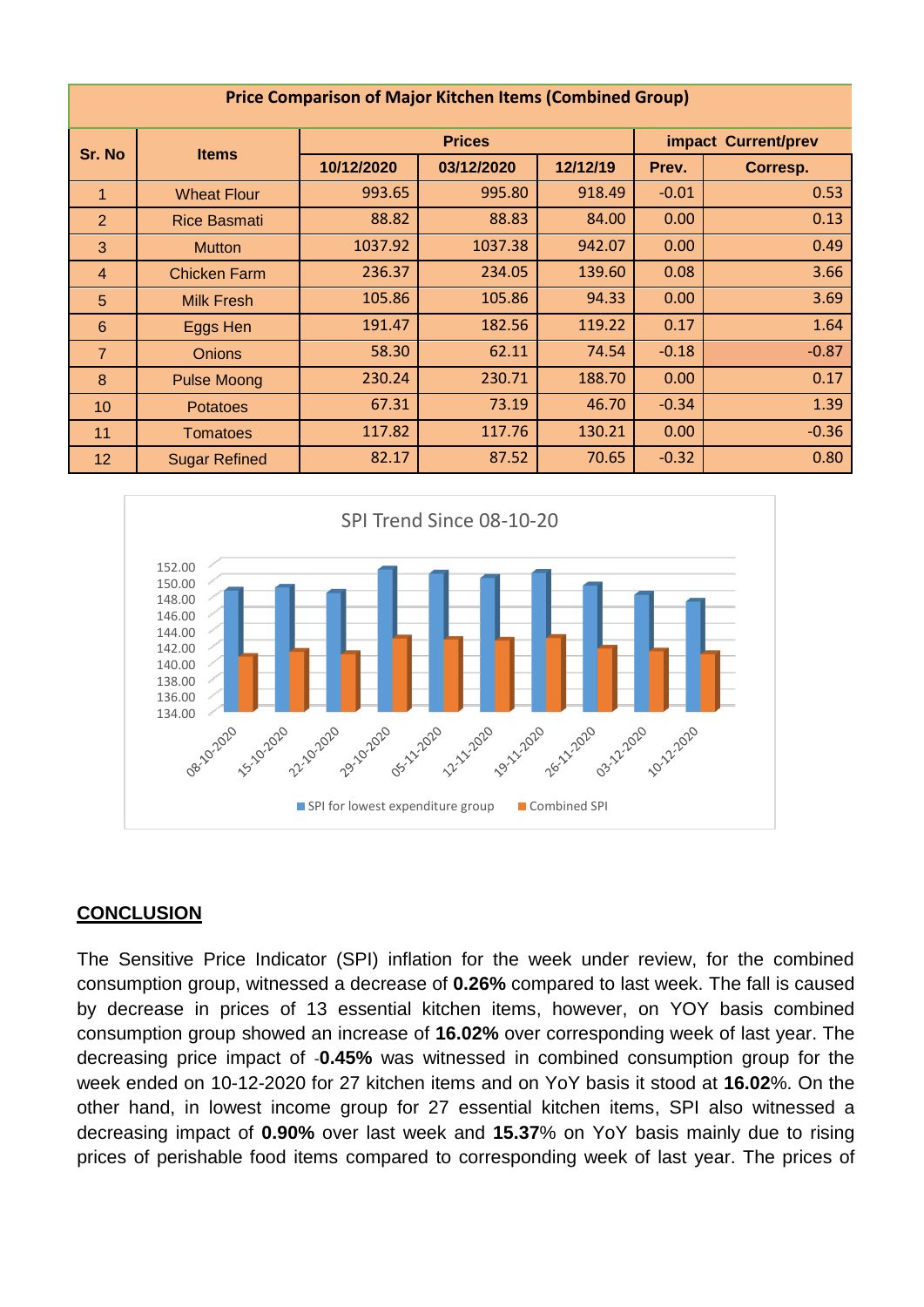| <b>Price Comparison of Major Kitchen Items (Combined Group)</b> |  |
|-----------------------------------------------------------------|--|
|-----------------------------------------------------------------|--|

| Sr. No          | <b>Items</b>         |            | <b>Prices</b> | impact Current/prev |         |          |  |
|-----------------|----------------------|------------|---------------|---------------------|---------|----------|--|
|                 |                      | 10/12/2020 | 03/12/2020    | 12/12/19            | Prev.   | Corresp. |  |
|                 | <b>Wheat Flour</b>   | 993.65     | 995.80        | 918.49              | $-0.01$ | 0.53     |  |
| $\overline{2}$  | <b>Rice Basmati</b>  | 88.82      | 88.83         | 84.00               | 0.00    | 0.13     |  |
| 3               | <b>Mutton</b>        | 1037.92    | 1037.38       | 942.07              | 0.00    | 0.49     |  |
| $\overline{4}$  | <b>Chicken Farm</b>  | 236.37     | 234.05        | 139.60              | 0.08    | 3.66     |  |
| 5               | <b>Milk Fresh</b>    | 105.86     | 105.86        | 94.33               | 0.00    | 3.69     |  |
| $6\phantom{1}6$ | Eggs Hen             | 191.47     | 182.56        | 119.22              | 0.17    | 1.64     |  |
| $\overline{7}$  | <b>Onions</b>        | 58.30      | 62.11         | 74.54               | $-0.18$ | $-0.87$  |  |
| 8               | <b>Pulse Moong</b>   | 230.24     | 230.71        | 188.70              | 0.00    | 0.17     |  |
| 10              | <b>Potatoes</b>      | 67.31      | 73.19         | 46.70               | $-0.34$ | 1.39     |  |
| 11              | <b>Tomatoes</b>      | 117.82     | 117.76        | 130.21              | 0.00    | $-0.36$  |  |
| 12              | <b>Sugar Refined</b> | 82.17      | 87.52         | 70.65               | $-0.32$ | 0.80     |  |



### **CONCLUSION**

The Sensitive Price Indicator (SPI) inflation for the week under review, for the combined consumption group, witnessed a decrease of **0.26%** compared to last week. The fall is caused by decrease in prices of 13 essential kitchen items, however, on YOY basis combined consumption group showed an increase of **16.02%** over corresponding week of last year. The decreasing price impact of -**0.45%** was witnessed in combined consumption group for the week ended on 10-12-2020 for 27 kitchen items and on YoY basis it stood at **16.02**%. On the other hand, in lowest income group for 27 essential kitchen items, SPI also witnessed a decreasing impact of **0.90%** over last week and **15.37**% on YoY basis mainly due to rising prices of perishable food items compared to corresponding week of last year. The prices of